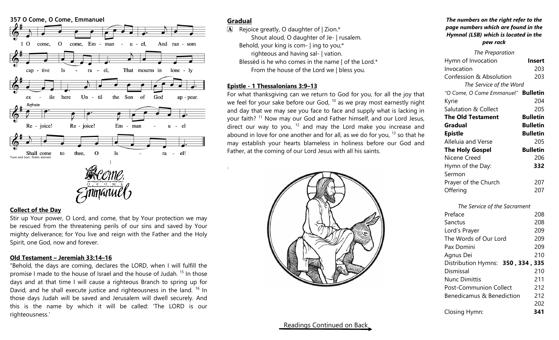

### **Collect of the Day**

Stir up Your power, O Lord, and come, that by Your protection we may be rescued from the threatening perils of our sins and saved by Your mighty deliverance; for You live and reign with the Father and the Holy Spirit, one God, now and forever.

## **Old Testament – Jeremiah 33:14–16**

"Behold, the days are coming, declares the LORD, when I will fulfill the promise I made to the house of Israel and the house of Judah. <sup>15</sup> In those days and at that time I will cause a righteous Branch to spring up for David, and he shall execute justice and righteousness in the land. <sup>16</sup> In those days Judah will be saved and Jerusalem will dwell securely. And this is the name by which it will be called: 'The LORD is our righteousness.'

# **Gradual**

.

 $\mathbf{\overline{A}}$  Rejoice greatly, O daughter of | Zion.\* Shout aloud, O daughter of Je- | rusalem. Behold, your king is com- | ing to you;\* righteous and having sal- | vation. Blessèd is he who comes in the name | of the Lord.\* From the house of the Lord we | bless you.

### **Epistle - 1 Thessalonians 3:9–13**

For what thanksgiving can we return to God for you, for all the joy that we feel for your sake before our God,  $10$  as we pray most earnestly night and day that we may see you face to face and supply what is lacking in your faith? <sup>11</sup> Now may our God and Father himself, and our Lord Jesus, direct our way to you,  $12$  and may the Lord make you increase and abound in love for one another and for all, as we do for you,  $13$  so that he may establish your hearts blameless in holiness before our God and Father, at the coming of our Lord Jesus with all his saints.



#### *The numbers on the right refer to the page numbers which are found in the Hymnal (LSB) which is located in the pew rack*

| The Preparation                           |                 |
|-------------------------------------------|-----------------|
| Hymn of Invocation                        | <b>Insert</b>   |
| Invocation                                | 203             |
| <b>Confession &amp; Absolution</b>        | 203             |
| The Service of the Word                   |                 |
| "O Come, O Come Emmanuel" <b>Bulletin</b> |                 |
| Kyrie                                     | 204             |
| <b>Salutation &amp; Collect</b>           | 205             |
| <b>The Old Testament</b>                  | <b>Bulletin</b> |
| Gradual                                   | <b>Bulletin</b> |
| <b>Epistle</b>                            | <b>Bulletin</b> |
| Alleluia and Verse                        | 205             |
| <b>The Holy Gospel</b>                    | <b>Bulletin</b> |
| Nicene Creed                              | 206             |
| Hymn of the Day:                          | 332             |
| Sermon                                    |                 |
| Prayer of the Church                      | 207             |
| Offering                                  | 207             |
|                                           |                 |

| Preface                           | 208 |
|-----------------------------------|-----|
| Sanctus                           | 208 |
| Lord's Prayer                     | 209 |
| The Words of Our Lord             | 209 |
| Pax Domini                        | 209 |
| Agnus Dei                         | 210 |
| Distribution Hymns: 350, 334, 335 |     |
| Dismissal                         | 210 |
| Nunc Dimittis                     | 211 |
| <b>Post-Communion Collect</b>     | 212 |
| Benedicamus & Benediction         | 212 |
|                                   | 202 |
| Closing Hymn:                     | 341 |
|                                   |     |

# Readings Continued on Back